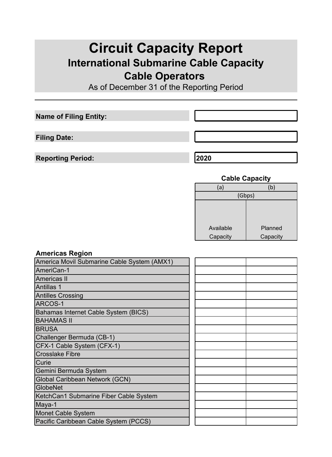# **Circuit Capacity Report International Submarine Cable Capacity Cable Operators**

As of December 31 of the Reporting Period

**Name of Filing Entity:**

**Filing Date:**

**Reporting Period: 2020**

### **Cable Capacity**

| (a)       | (b)      |  |
|-----------|----------|--|
|           | (Gbps)   |  |
|           |          |  |
|           |          |  |
|           |          |  |
| Available | Planned  |  |
| Capacity  | Capacity |  |
|           |          |  |

#### **Americas Region**

| America Movil Submarine Cable System (AMX1) |  |
|---------------------------------------------|--|
| AmeriCan-1                                  |  |
| Americas II                                 |  |
| Antillas 1                                  |  |
| <b>Antilles Crossing</b>                    |  |
| <b>ARCOS-1</b>                              |  |
| Bahamas Internet Cable System (BICS)        |  |
| <b>BAHAMAS II</b>                           |  |
| <b>BRUSA</b>                                |  |
| Challenger Bermuda (CB-1)                   |  |
| CFX-1 Cable System (CFX-1)                  |  |
| <b>Crosslake Fibre</b>                      |  |
| <b>Curie</b>                                |  |
| Gemini Bermuda System                       |  |
| Global Caribbean Network (GCN)              |  |
| GlobeNet                                    |  |
| KetchCan1 Submarine Fiber Cable System      |  |
| Maya-1                                      |  |
| Monet Cable System                          |  |
| Pacific Caribbean Cable System (PCCS)       |  |